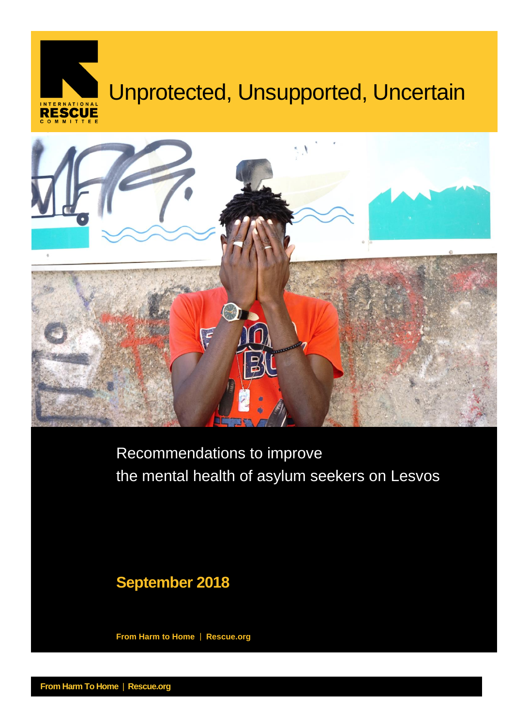# **Unprotected, Unsupported, Uncertain** Unprotected, Unsupported, Uncertain INTERNATIONAL



Recommendations to improve the mental health of asylum seekers on Lesvos

# **September 2018**

**From Harm to Home** | **Rescue.org**

**From Harm To Home** | **Rescue.org**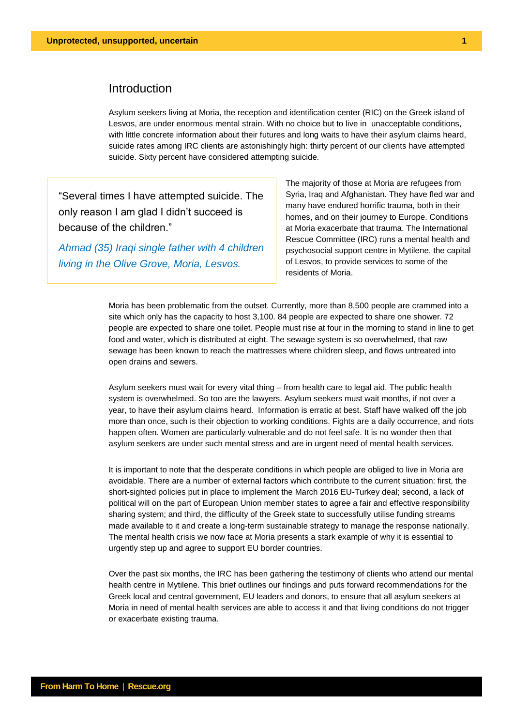# Introduction

Asylum seekers living at Moria, the reception and identification center (RIC) on the Greek island of Lesvos, are under enormous mental strain. With no choice but to live in unacceptable conditions, with little concrete information about their futures and long waits to have their asylum claims heard, suicide rates among IRC clients are astonishingly high: thirty percent of our clients have attempted suicide. Sixty percent have considered attempting suicide.

"Several times I have attempted suicide. The only reason I am glad I didn't succeed is because of the children."

*Ahmad (35) Iraqi single father with 4 children living in the Olive Grove, Moria, Lesvos.*

The majority of those at Moria are refugees from Syria, Iraq and Afghanistan. They have fled war and many have endured horrific trauma, both in their homes, and on their journey to Europe. Conditions at Moria exacerbate that trauma. The International Rescue Committee (IRC) runs a mental health and psychosocial support centre in Mytilene, the capital of Lesvos, to provide services to some of the residents of Moria.

Moria has been problematic from the outset. Currently, more than 8,500 people are crammed into a site which only has the capacity to host 3,100. 84 people are expected to share one shower. 72 people are expected to share one toilet. People must rise at four in the morning to stand in line to get food and water, which is distributed at eight. The sewage system is so overwhelmed, that raw sewage has been known to reach the mattresses where children sleep, and flows untreated into open drains and sewers.

Asylum seekers must wait for every vital thing – from health care to legal aid. The public health system is overwhelmed. So too are the lawyers. Asylum seekers must wait months, if not over a year, to have their asylum claims heard. Information is erratic at best. Staff have walked off the job more than once, such is their objection to working conditions. Fights are a daily occurrence, and riots happen often. Women are particularly vulnerable and do not feel safe. It is no wonder then that asylum seekers are under such mental stress and are in urgent need of mental health services.

It is important to note that the desperate conditions in which people are obliged to live in Moria are avoidable. There are a number of external factors which contribute to the current situation: first, the short-sighted policies put in place to implement the March 2016 EU-Turkey deal; second, a lack of political will on the part of European Union member states to agree a fair and effective responsibility sharing system; and third, the difficulty of the Greek state to successfully utilise funding streams made available to it and create a long-term sustainable strategy to manage the response nationally. The mental health crisis we now face at Moria presents a stark example of why it is essential to urgently step up and agree to support EU border countries.

Over the past six months, the IRC has been gathering the testimony of clients who attend our mental health centre in Mytilene. This brief outlines our findings and puts forward recommendations for the Greek local and central government, EU leaders and donors, to ensure that all asylum seekers at Moria in need of mental health services are able to access it and that living conditions do not trigger or exacerbate existing trauma.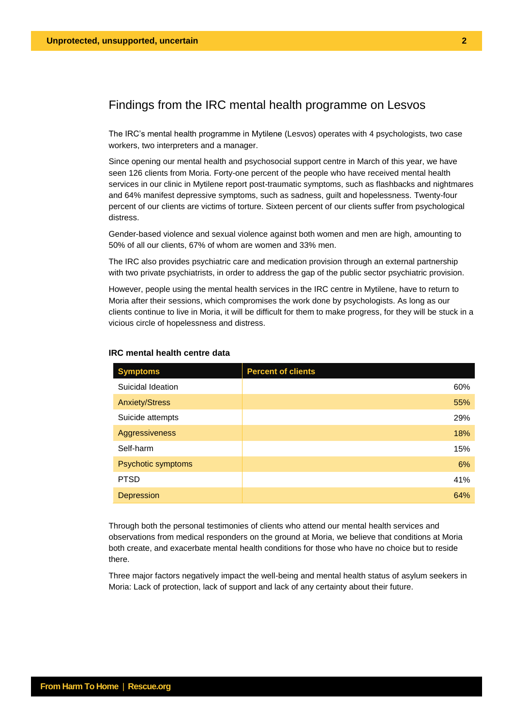# Findings from the IRC mental health programme on Lesvos

The IRC's mental health programme in Mytilene (Lesvos) operates with 4 psychologists, two case workers, two interpreters and a manager.

Since opening our mental health and psychosocial support centre in March of this year, we have seen 126 clients from Moria. Forty-one percent of the people who have received mental health services in our clinic in Mytilene report post-traumatic symptoms, such as flashbacks and nightmares and 64% manifest depressive symptoms, such as sadness, guilt and hopelessness. Twenty-four percent of our clients are victims of torture. Sixteen percent of our clients suffer from psychological distress.

Gender-based violence and sexual violence against both women and men are high, amounting to 50% of all our clients, 67% of whom are women and 33% men.

The IRC also provides psychiatric care and medication provision through an external partnership with two private psychiatrists, in order to address the gap of the public sector psychiatric provision.

However, people using the mental health services in the IRC centre in Mytilene, have to return to Moria after their sessions, which compromises the work done by psychologists. As long as our clients continue to live in Moria, it will be difficult for them to make progress, for they will be stuck in a vicious circle of hopelessness and distress.

| <b>Symptoms</b>       | <b>Percent of clients</b> |
|-----------------------|---------------------------|
| Suicidal Ideation     | 60%                       |
| <b>Anxiety/Stress</b> | 55%                       |
| Suicide attempts      | 29%                       |
| <b>Aggressiveness</b> | 18%                       |
| Self-harm             | 15%                       |
| Psychotic symptoms    | 6%                        |
| <b>PTSD</b>           | 41%                       |
| Depression            | 64%                       |

#### **IRC mental health centre data**

Through both the personal testimonies of clients who attend our mental health services and observations from medical responders on the ground at Moria, we believe that conditions at Moria both create, and exacerbate mental health conditions for those who have no choice but to reside there.

Three major factors negatively impact the well-being and mental health status of asylum seekers in Moria: Lack of protection, lack of support and lack of any certainty about their future.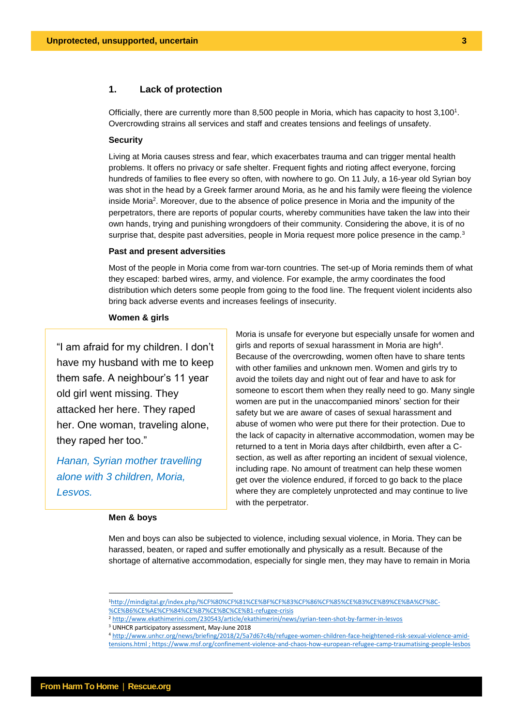# **1. Lack of protection**

Officially, there are currently more than 8,500 people in Moria, which has capacity to host  $3,100<sup>1</sup>$ . Overcrowding strains all services and staff and creates tensions and feelings of unsafety.

#### **Security**

Living at Moria causes stress and fear, which exacerbates trauma and can trigger mental health problems. It offers no privacy or safe shelter. Frequent fights and rioting affect everyone, forcing hundreds of families to flee every so often, with nowhere to go. On 11 July, a 16-year old Syrian boy was shot in the head by a Greek farmer around Moria, as he and his family were fleeing the violence inside Moria<sup>2</sup>. Moreover, due to the absence of police presence in Moria and the impunity of the perpetrators, there are reports of popular courts, whereby communities have taken the law into their own hands, trying and punishing wrongdoers of their community. Considering the above, it is of no surprise that, despite past adversities, people in Moria request more police presence in the camp.<sup>3</sup>

#### **Past and present adversities**

Most of the people in Moria come from war-torn countries. The set-up of Moria reminds them of what they escaped: barbed wires, army, and violence. For example, the army coordinates the food distribution which deters some people from going to the food line. The frequent violent incidents also bring back adverse events and increases feelings of insecurity.

# **Women & girls**

"I am afraid for my children. I don't have my husband with me to keep them safe. A neighbour's 11 year old girl went missing. They attacked her here. They raped her. One woman, traveling alone, they raped her too."

*Hanan, Syrian mother travelling alone with 3 children, Moria, Lesvos.*

# **Men & boys**

Moria is unsafe for everyone but especially unsafe for women and girls and reports of sexual harassment in Moria are high<sup>4</sup>. Because of the overcrowding, women often have to share tents with other families and unknown men. Women and girls try to avoid the toilets day and night out of fear and have to ask for someone to escort them when they really need to go. Many single women are put in the unaccompanied minors' section for their safety but we are aware of cases of sexual harassment and abuse of women who were put there for their protection. Due to the lack of capacity in alternative accommodation, women may be returned to a tent in Moria days after childbirth, even after a Csection, as well as after reporting an incident of sexual violence, including rape. No amount of treatment can help these women get over the violence endured, if forced to go back to the place where they are completely unprotected and may continue to live with the perpetrator.

Men and boys can also be subjected to violence, including sexual violence, in Moria. They can be harassed, beaten, or raped and suffer emotionally and physically as a result. Because of the shortage of alternative accommodation, especially for single men, they may have to remain in Moria

<sup>1</sup>[http://mindigital.gr/index.php/%CF%80%CF%81%CE%BF%CF%83%CF%86%CF%85%CE%B3%CE%B9%CE%BA%CF%8C-](http://mindigital.gr/index.php/%CF%80%CF%81%CE%BF%CF%83%CF%86%CF%85%CE%B3%CE%B9%CE%BA%CF%8C-%CE%B6%CE%AE%CF%84%CE%B7%CE%BC%CE%B1-refugee-crisis) [%CE%B6%CE%AE%CF%84%CE%B7%CE%BC%CE%B1-refugee-crisis](http://mindigital.gr/index.php/%CF%80%CF%81%CE%BF%CF%83%CF%86%CF%85%CE%B3%CE%B9%CE%BA%CF%8C-%CE%B6%CE%AE%CF%84%CE%B7%CE%BC%CE%B1-refugee-crisis)

<sup>2</sup> <http://www.ekathimerini.com/230543/article/ekathimerini/news/syrian-teen-shot-by-farmer-in-lesvos>

<sup>&</sup>lt;sup>3</sup> UNHCR participatory assessment, May-June 2018

<sup>4</sup> [http://www.unhcr.org/news/briefing/2018/2/5a7d67c4b/refugee-women-children-face-heightened-risk-sexual-violence-amid](http://www.unhcr.org/news/briefing/2018/2/5a7d67c4b/refugee-women-children-face-heightened-risk-sexual-violence-amid-tensions.html)[tensions.html](http://www.unhcr.org/news/briefing/2018/2/5a7d67c4b/refugee-women-children-face-heightened-risk-sexual-violence-amid-tensions.html) ; https://www.msf.org/confinement-violence-and-chaos-how-european-refugee-camp-traumatising-people-lesbos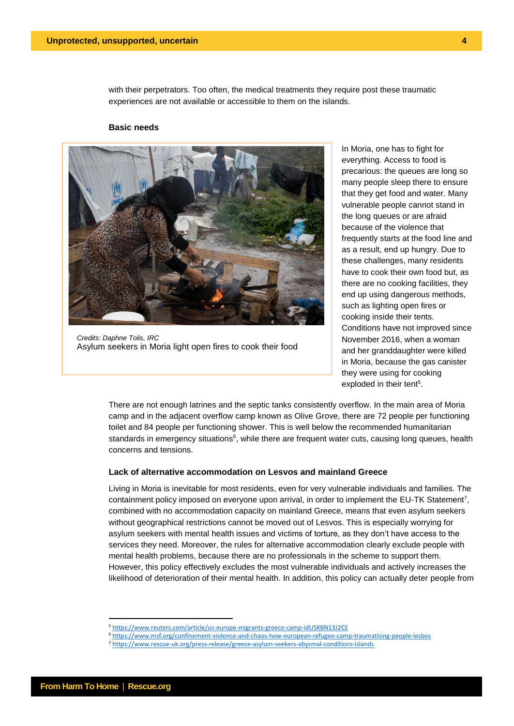with their perpetrators. Too often, the medical treatments they require post these traumatic experiences are not available or accessible to them on the islands.

#### **Basic needs**



*Credits: Daphne Tolis, IRC* Asylum seekers in Moria light open fires to cook their food

In Moria, one has to fight for everything. Access to food is precarious: the queues are long so many people sleep there to ensure that they get food and water. Many vulnerable people cannot stand in the long queues or are afraid because of the violence that frequently starts at the food line and as a result, end up hungry. Due to these challenges, many residents have to cook their own food but, as there are no cooking facilities, they end up using dangerous methods, such as lighting open fires or cooking inside their tents. Conditions have not improved since November 2016, when a woman and her granddaughter were killed in Moria, because the gas canister they were using for cooking exploded in their tent<sup>5</sup>.

There are not enough latrines and the septic tanks consistently overflow. In the main area of Moria camp and in the adjacent overflow camp known as Olive Grove, there are 72 people per functioning toilet and 84 people per functioning shower. This is well below the recommended humanitarian standards in emergency situations<sup>6</sup>, while there are frequent water cuts, causing long queues, health concerns and tensions.

# **Lack of alternative accommodation on Lesvos and mainland Greece**

Living in Moria is inevitable for most residents, even for very vulnerable individuals and families. The containment policy imposed on everyone upon arrival, in order to implement the EU-TK Statement<sup>7</sup>, combined with no accommodation capacity on mainland Greece, means that even asylum seekers without geographical restrictions cannot be moved out of Lesvos. This is especially worrying for asylum seekers with mental health issues and victims of torture, as they don't have access to the services they need. Moreover, the rules for alternative accommodation clearly exclude people with mental health problems, because there are no professionals in the scheme to support them. However, this policy effectively excludes the most vulnerable individuals and actively increases the likelihood of deterioration of their mental health. In addition, this policy can actually deter people from

<sup>5</sup> <https://www.reuters.com/article/us-europe-migrants-greece-camp-idUSKBN13J2CE>

<sup>6</sup> <https://www.msf.org/confinement-violence-and-chaos-how-european-refugee-camp-traumatising-people-lesbos>

<sup>7</sup> <https://www.rescue-uk.org/press-release/greece-asylum-seekers-abysmal-conditions-islands>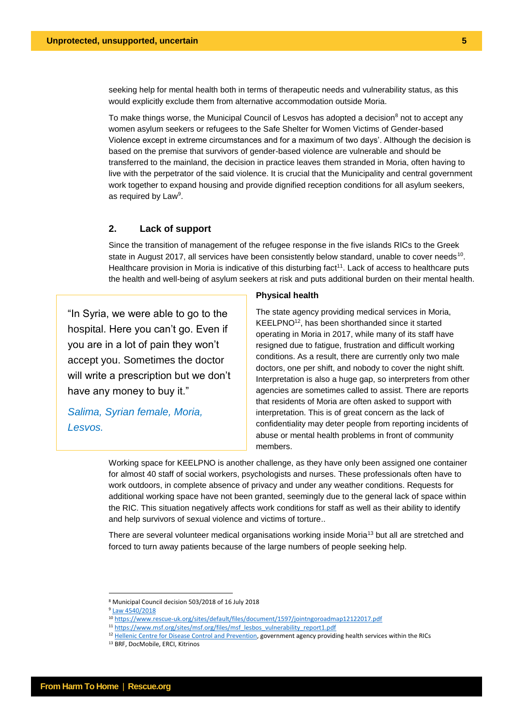seeking help for mental health both in terms of therapeutic needs and vulnerability status, as this would explicitly exclude them from alternative accommodation outside Moria.

To make things worse, the Municipal Council of Lesvos has adopted a decision<sup>8</sup> not to accept any women asylum seekers or refugees to the Safe Shelter for Women Victims of Gender-based Violence except in extreme circumstances and for a maximum of two days'. Although the decision is based on the premise that survivors of gender-based violence are vulnerable and should be transferred to the mainland, the decision in practice leaves them stranded in Moria, often having to live with the perpetrator of the said violence. It is crucial that the Municipality and central government work together to expand housing and provide dignified reception conditions for all asylum seekers, as required by Law<sup>9</sup>.

# **2. Lack of support**

Since the transition of management of the refugee response in the five islands RICs to the Greek state in August 2017, all services have been consistently below standard, unable to cover needs<sup>10</sup>. Healthcare provision in Moria is indicative of this disturbing fact<sup>11</sup>. Lack of access to healthcare puts the health and well-being of asylum seekers at risk and puts additional burden on their mental health.

"In Syria, we were able to go to the hospital. Here you can't go. Even if you are in a lot of pain they won't accept you. Sometimes the doctor will write a prescription but we don't have any money to buy it."

*Salima, Syrian female, Moria, Lesvos.*

#### **Physical health**

The state agency providing medical services in Moria, KEELPNO<sup>12</sup>, has been shorthanded since it started operating in Moria in 2017, while many of its staff have resigned due to fatigue, frustration and difficult working conditions. As a result, there are currently only two male doctors, one per shift, and nobody to cover the night shift. Interpretation is also a huge gap, so interpreters from other agencies are sometimes called to assist. There are reports that residents of Moria are often asked to support with interpretation. This is of great concern as the lack of confidentiality may deter people from reporting incidents of abuse or mental health problems in front of community members.

Working space for KEELPNO is another challenge, as they have only been assigned one container for almost 40 staff of social workers, psychologists and nurses. These professionals often have to work outdoors, in complete absence of privacy and under any weather conditions. Requests for additional working space have not been granted, seemingly due to the general lack of space within the RIC. This situation negatively affects work conditions for staff as well as their ability to identify and help survivors of sexual violence and victims of torture..

There are several volunteer medical organisations working inside Moria<sup>13</sup> but all are stretched and forced to turn away patients because of the large numbers of people seeking help.

<sup>8</sup> Municipal Council decision 503/2018 of 16 July 2018

<sup>9</sup> [Law 4540/2018](http://www.asylumineurope.org/sites/default/files/resources/n_4540_2018.pdf)

<sup>10</sup> <https://www.rescue-uk.org/sites/default/files/document/1597/jointngoroadmap12122017.pdf>

<sup>11</sup> [https://www.msf.org/sites/msf.org/files/msf\\_lesbos\\_vulnerability\\_report1.pdf](https://www.msf.org/sites/msf.org/files/msf_lesbos_vulnerability_report1.pdf)

<sup>&</sup>lt;sup>12</sup> [Hellenic Centre for Disease Control and Prevention,](http://www.keelpno.gr/) government agency providing health services within the RICs

<sup>13</sup> BRF, DocMobile, ERCI, Kitrinos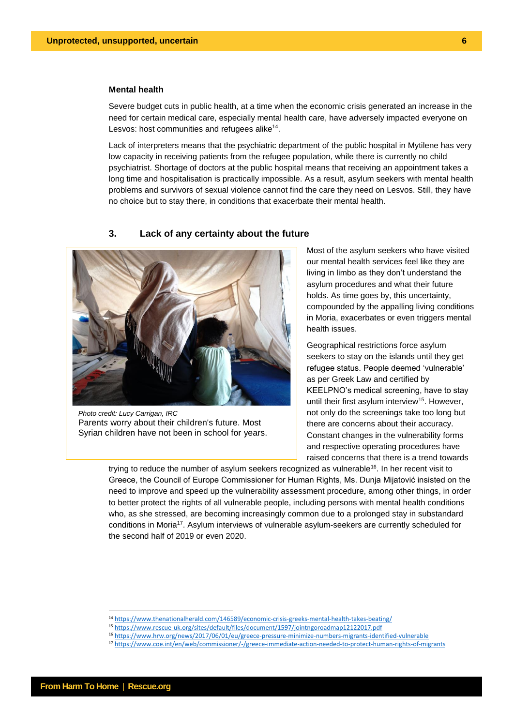# **Mental health**

Severe budget cuts in public health, at a time when the economic crisis generated an increase in the need for certain medical care, especially mental health care, have adversely impacted everyone on Lesvos: host communities and refugees alike<sup>14</sup>.

Lack of interpreters means that the psychiatric department of the public hospital in Mytilene has very low capacity in receiving patients from the refugee population, while there is currently no child psychiatrist. Shortage of doctors at the public hospital means that receiving an appointment takes a long time and hospitalisation is practically impossible. As a result, asylum seekers with mental health problems and survivors of sexual violence cannot find the care they need on Lesvos. Still, they have no choice but to stay there, in conditions that exacerbate their mental health.

## **3. Lack of any certainty about the future**



*Photo credit: Lucy Carrigan, IRC* Parent*s* worry about their children's future. Most Syrian children have not been in school for years.

Most of the asylum seekers who have visited our mental health services feel like they are living in limbo as they don't understand the asylum procedures and what their future holds. As time goes by, this uncertainty, compounded by the appalling living conditions in Moria, exacerbates or even triggers mental health issues.

Geographical restrictions force asylum seekers to stay on the islands until they get refugee status. People deemed 'vulnerable' as per Greek Law and certified by KEELPNO's medical screening, have to stay until their first asylum interview<sup>15</sup>. However, not only do the screenings take too long but there are concerns about their accuracy. Constant changes in the vulnerability forms and respective operating procedures have raised concerns that there is a trend towards

trying to reduce the number of asylum seekers recognized as vulnerable<sup>16</sup>. In her recent visit to Greece, the Council of Europe Commissioner for Human Rights, Ms. Dunja Mijatović insisted on the need to improve and speed up the vulnerability assessment procedure, among other things, in order to better protect the rights of all vulnerable people, including persons with mental health conditions who, as she stressed, are becoming increasingly common due to a prolonged stay in substandard conditions in Moria<sup>17</sup>. Asylum interviews of vulnerable asylum-seekers are currently scheduled for the second half of 2019 or even 2020.

<sup>14</sup> <https://www.thenationalherald.com/146589/economic-crisis-greeks-mental-health-takes-beating/>

<sup>15</sup> <https://www.rescue-uk.org/sites/default/files/document/1597/jointngoroadmap12122017.pdf>

<sup>16</sup> <https://www.hrw.org/news/2017/06/01/eu/greece-pressure-minimize-numbers-migrants-identified-vulnerable>

<sup>17</sup> <https://www.coe.int/en/web/commissioner/-/greece-immediate-action-needed-to-protect-human-rights-of-migrants>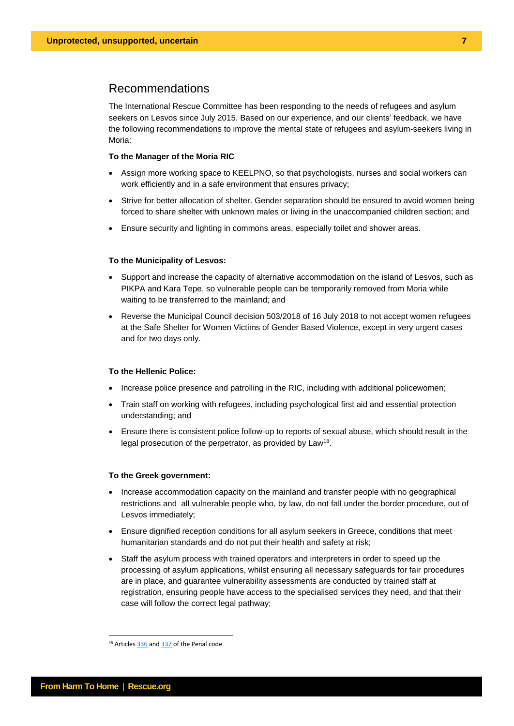# Recommendations

The International Rescue Committee has been responding to the needs of refugees and asylum seekers on Lesvos since July 2015. Based on our experience, and our clients' feedback, we have the following recommendations to improve the mental state of refugees and asylum-seekers living in Moria:

#### **To the Manager of the Moria RIC**

- Assign more working space to KEELPNO, so that psychologists, nurses and social workers can work efficiently and in a safe environment that ensures privacy;
- Strive for better allocation of shelter. Gender separation should be ensured to avoid women being forced to share shelter with unknown males or living in the unaccompanied children section; and
- Ensure security and lighting in commons areas, especially toilet and shower areas.

#### **To the Municipality of Lesvos:**

- Support and increase the capacity of alternative accommodation on the island of Lesvos, such as PIKPA and Kara Tepe, so vulnerable people can be temporarily removed from Moria while waiting to be transferred to the mainland; and
- Reverse the Municipal Council decision 503/2018 of 16 July 2018 to not accept women refugees at the Safe Shelter for Women Victims of Gender Based Violence, except in very urgent cases and for two days only.

## **To the Hellenic Police:**

- Increase police presence and patrolling in the RIC, including with additional policewomen;
- Train staff on working with refugees, including psychological first aid and essential protection understanding; and
- Ensure there is consistent police follow-up to reports of sexual abuse, which should result in the legal prosecution of the perpetrator, as provided by Law<sup>18</sup>.

#### **To the Greek government:**

- Increase accommodation capacity on the mainland and transfer people with no geographical restrictions and all vulnerable people who, by law, do not fall under the border procedure, out of Lesvos immediately;
- Ensure dignified reception conditions for all asylum seekers in Greece, conditions that meet humanitarian standards and do not put their health and safety at risk;
- Staff the asylum process with trained operators and interpreters in order to speed up the processing of asylum applications, whilst ensuring all necessary safeguards for fair procedures are in place, and guarantee vulnerability assessments are conducted by trained staff at registration, ensuring people have access to the specialised services they need, and that their case will follow the correct legal pathway;

<sup>&</sup>lt;sup>18</sup> Articles [336](https://www.lawspot.gr/nomikes-plirofories/nomothesia/pk/arthro-336-poinikos-kodikas-viasmos) an[d 337](https://www.lawspot.gr/nomikes-plirofories/nomothesia/pk/arthro-337-poinikos-kodikas-prosvoli-tis-genetisias-axioprepeias) of the Penal code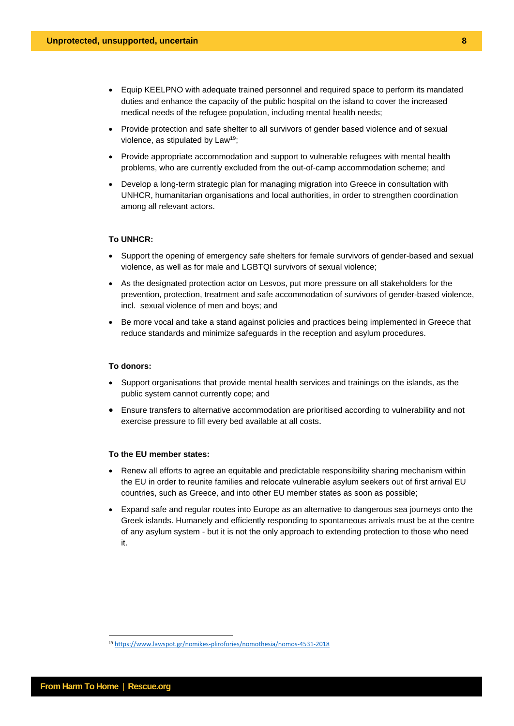- Equip KEELPNO with adequate trained personnel and required space to perform its mandated duties and enhance the capacity of the public hospital on the island to cover the increased medical needs of the refugee population, including mental health needs;
- Provide protection and safe shelter to all survivors of gender based violence and of sexual violence, as stipulated by Law<sup>19</sup>;
- Provide appropriate accommodation and support to vulnerable refugees with mental health problems, who are currently excluded from the out-of-camp accommodation scheme; and
- Develop a long-term strategic plan for managing migration into Greece in consultation with UNHCR, humanitarian organisations and local authorities, in order to strengthen coordination among all relevant actors.

## **To UNHCR:**

- Support the opening of emergency safe shelters for female survivors of gender-based and sexual violence, as well as for male and LGBTQI survivors of sexual violence;
- As the designated protection actor on Lesvos, put more pressure on all stakeholders for the prevention, protection, treatment and safe accommodation of survivors of gender-based violence, incl. sexual violence of men and boys; and
- Be more vocal and take a stand against policies and practices being implemented in Greece that reduce standards and minimize safeguards in the reception and asylum procedures.

#### **To donors:**

- Support organisations that provide mental health services and trainings on the islands, as the public system cannot currently cope; and
- Ensure transfers to alternative accommodation are prioritised according to vulnerability and not exercise pressure to fill every bed available at all costs.

### **To the EU member states:**

- Renew all efforts to agree an equitable and predictable responsibility sharing mechanism within the EU in order to reunite families and relocate vulnerable asylum seekers out of first arrival EU countries, such as Greece, and into other EU member states as soon as possible;
- Expand safe and regular routes into Europe as an alternative to dangerous sea journeys onto the Greek islands. Humanely and efficiently responding to spontaneous arrivals must be at the centre of any asylum system - but it is not the only approach to extending protection to those who need it.

<sup>19</sup> <https://www.lawspot.gr/nomikes-plirofories/nomothesia/nomos-4531-2018>